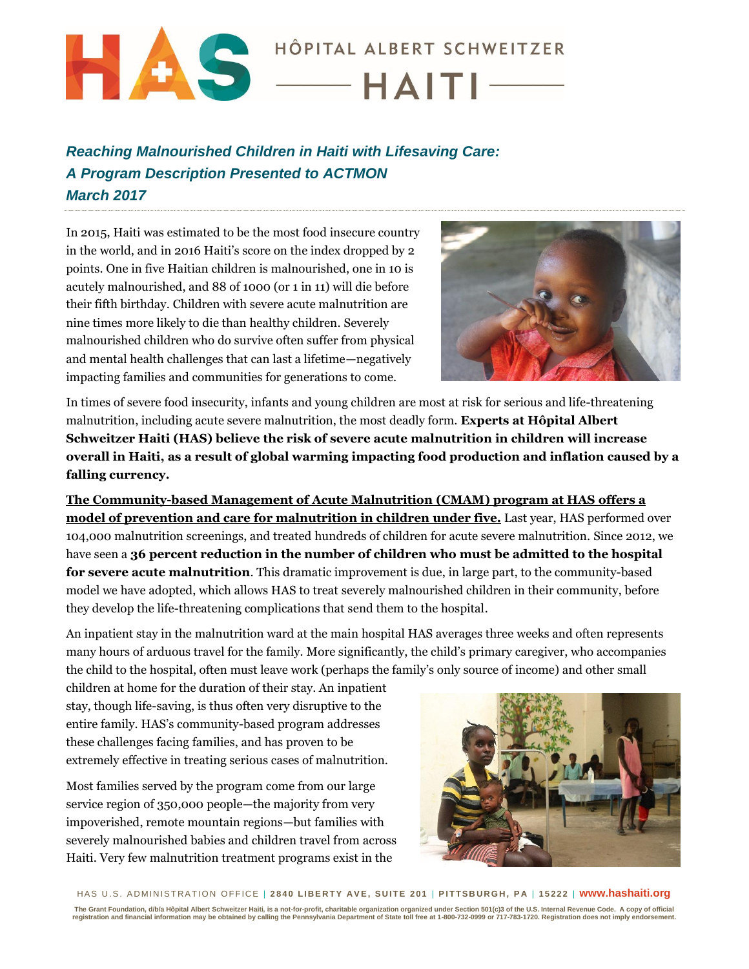

## *Reaching Malnourished Children in Haiti with Lifesaving Care: A Program Description Presented to ACTMON March 2017*

In 2015, Haiti was estimated to be the most food insecure country in the world, and in 2016 Haiti's score on the index dropped by 2 points. One in five Haitian children is malnourished, one in 10 is acutely malnourished, and 88 of 1000 (or 1 in 11) will die before their fifth birthday. Children with severe acute malnutrition are nine times more likely to die than healthy children. Severely malnourished children who do survive often suffer from physical and mental health challenges that can last a lifetime—negatively impacting families and communities for generations to come.



In times of severe food insecurity, infants and young children are most at risk for serious and life-threatening malnutrition, including acute severe malnutrition, the most deadly form. **Experts at Hôpital Albert Schweitzer Haiti (HAS) believe the risk of severe acute malnutrition in children will increase overall in Haiti, as a result of global warming impacting food production and inflation caused by a falling currency.** 

**The Community-based Management of Acute Malnutrition (CMAM) program at HAS offers a model of prevention and care for malnutrition in children under five.** Last year, HAS performed over 104,000 malnutrition screenings, and treated hundreds of children for acute severe malnutrition. Since 2012, we have seen a **36 percent reduction in the number of children who must be admitted to the hospital for severe acute malnutrition**. This dramatic improvement is due, in large part, to the community-based model we have adopted, which allows HAS to treat severely malnourished children in their community, before they develop the life-threatening complications that send them to the hospital.

An inpatient stay in the malnutrition ward at the main hospital HAS averages three weeks and often represents many hours of arduous travel for the family. More significantly, the child's primary caregiver, who accompanies the child to the hospital, often must leave work (perhaps the family's only source of income) and other small

children at home for the duration of their stay. An inpatient stay, though life-saving, is thus often very disruptive to the entire family. HAS's community-based program addresses these challenges facing families, and has proven to be extremely effective in treating serious cases of malnutrition.

Most families served by the program come from our large service region of 350,000 people—the majority from very impoverished, remote mountain regions—but families with severely malnourished babies and children travel from across Haiti. Very few malnutrition treatment programs exist in the



H A S U .S . A D MIN IS T R A T IO N O F F IC E | **2 8 4 0 L IB E R T Y AV E , S U I T E 2 01** | **P I T TS B U R G H , P A** | **1 5 22 2** | **www.hashaiti.org**

The Grant Foundation, d/b/a Hôpital Albert Schweitzer Haiti, is a not-for-profit, charitable organization organized under Section 501(c)3 of the U.S. Internal Revenue Code. A copy of official<br>registration and financial inf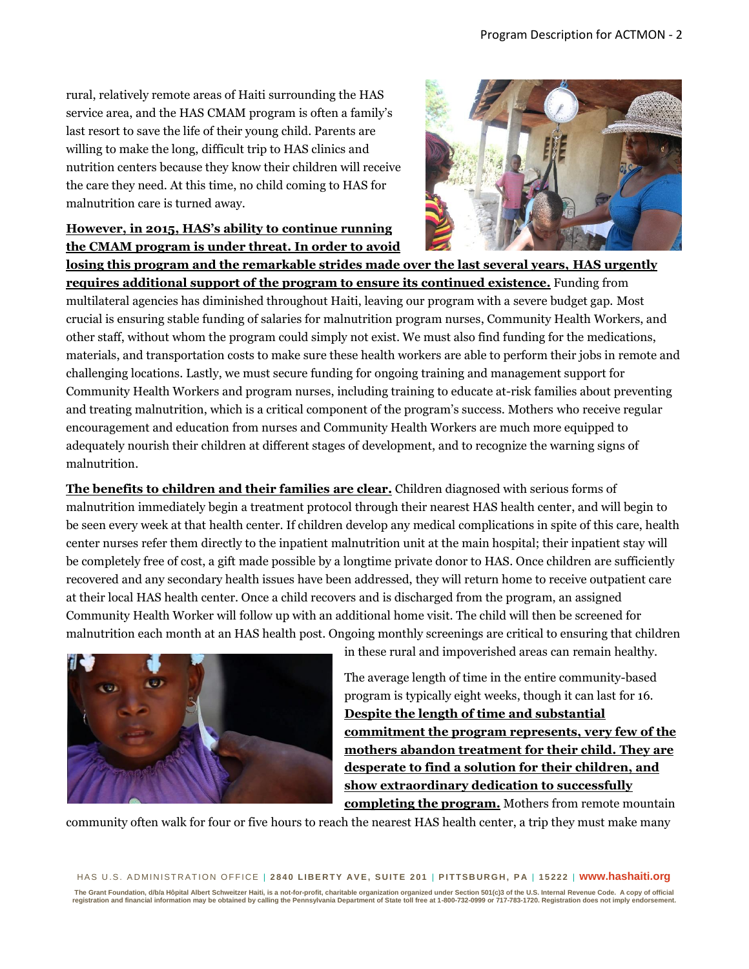rural, relatively remote areas of Haiti surrounding the HAS service area, and the HAS CMAM program is often a family's last resort to save the life of their young child. Parents are willing to make the long, difficult trip to HAS clinics and nutrition centers because they know their children will receive the care they need. At this time, no child coming to HAS for malnutrition care is turned away.



## **However, in 2015, HAS's ability to continue running the CMAM program is under threat. In order to avoid**

**losing this program and the remarkable strides made over the last several years, HAS urgently requires additional support of the program to ensure its continued existence.** Funding from multilateral agencies has diminished throughout Haiti, leaving our program with a severe budget gap. Most crucial is ensuring stable funding of salaries for malnutrition program nurses, Community Health Workers, and other staff, without whom the program could simply not exist. We must also find funding for the medications, materials, and transportation costs to make sure these health workers are able to perform their jobs in remote and challenging locations. Lastly, we must secure funding for ongoing training and management support for Community Health Workers and program nurses, including training to educate at-risk families about preventing and treating malnutrition, which is a critical component of the program's success. Mothers who receive regular encouragement and education from nurses and Community Health Workers are much more equipped to adequately nourish their children at different stages of development, and to recognize the warning signs of malnutrition.

**The benefits to children and their families are clear.** Children diagnosed with serious forms of malnutrition immediately begin a treatment protocol through their nearest HAS health center, and will begin to be seen every week at that health center. If children develop any medical complications in spite of this care, health center nurses refer them directly to the inpatient malnutrition unit at the main hospital; their inpatient stay will be completely free of cost, a gift made possible by a longtime private donor to HAS. Once children are sufficiently recovered and any secondary health issues have been addressed, they will return home to receive outpatient care at their local HAS health center. Once a child recovers and is discharged from the program, an assigned Community Health Worker will follow up with an additional home visit. The child will then be screened for malnutrition each month at an HAS health post. Ongoing monthly screenings are critical to ensuring that children



in these rural and impoverished areas can remain healthy.

The average length of time in the entire community-based program is typically eight weeks, though it can last for 16. **Despite the length of time and substantial commitment the program represents, very few of the mothers abandon treatment for their child. They are desperate to find a solution for their children, and show extraordinary dedication to successfully completing the program.** Mothers from remote mountain

community often walk for four or five hours to reach the nearest HAS health center, a trip they must make many